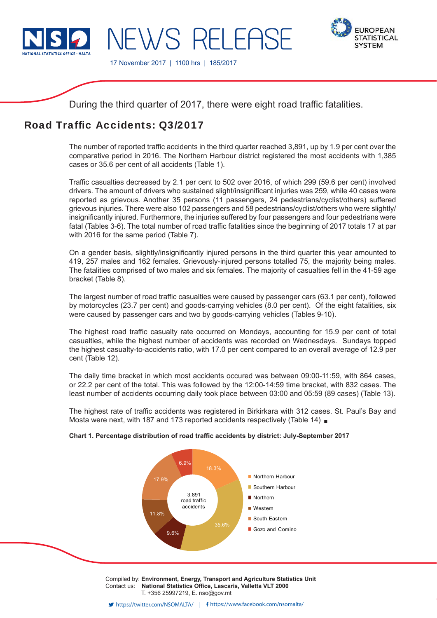

17 November 2017 | 1100 hrs | 185/2017

IFWS RELEAS



During the third quarter of 2017, there were eight road traffic fatalities.

# Road Traffic Accidents: 03/2017

The number of reported traffic accidents in the third quarter reached 3,891, up by 1.9 per cent over the comparative period in 2016. The Northern Harbour district registered the most accidents with 1,385 cases or 35.6 per cent of all accidents (Table 1).

Traffic casualties decreased by 2.1 per cent to 502 over 2016, of which 299 (59.6 per cent) involved drivers. The amount of drivers who sustained slight/insignificant injuries was 259, while 40 cases were reported as grievous. Another 35 persons (11 passengers, 24 pedestrians/cyclist/others) suffered grievous injuries. There were also 102 passengers and 58 pedestrians/cyclist/others who were slightly/ insignificantly injured. Furthermore, the injuries suffered by four passengers and four pedestrians were fatal (Tables 3-6). The total number of road traffic fatalities since the beginning of 2017 totals 17 at par with 2016 for the same period (Table 7).

On a gender basis, slightly/insignificantly injured persons in the third quarter this year amounted to 419, 257 males and 162 females. Grievously-injured persons totalled 75, the majority being males. The fatalities comprised of two males and six females. The majority of casualties fell in the 41-59 age bracket (Table 8).

The largest number of road traffic casualties were caused by passenger cars (63.1 per cent), followed by motorcycles (23.7 per cent) and goods-carrying vehicles (8.0 per cent). Of the eight fatalities, six were caused by passenger cars and two by goods-carrying vehicles (Tables 9-10).

The highest road traffic casualty rate occurred on Mondays, accounting for 15.9 per cent of total casualties, while the highest number of accidents was recorded on Wednesdays. Sundays topped the highest casualty-to-accidents ratio, with 17.0 per cent compared to an overall average of 12.9 per cent (Table 12).

The daily time bracket in which most accidents occured was between 09:00-11:59, with 864 cases, or 22.2 per cent of the total. This was followed by the 12:00-14:59 time bracket, with 832 cases. The least number of accidents occurring daily took place between 03:00 and 05:59 (89 cases) (Table 13).

The highest rate of traffic accidents was registered in Birkirkara with 312 cases. St. Paul's Bay and Mosta were next, with 187 and 173 reported accidents respectively (Table 14) **a** 

# Chart 1. Percentage distribution of road traffic accidents by district: July-September 2017



Compiled by: **Environment, Energy, Transport and Agriculture Statistics Unit** Contact us: National Statistics Office, Lascaris, Valletta VLT 2000 T. +356 25997219, E. nso@gov.mt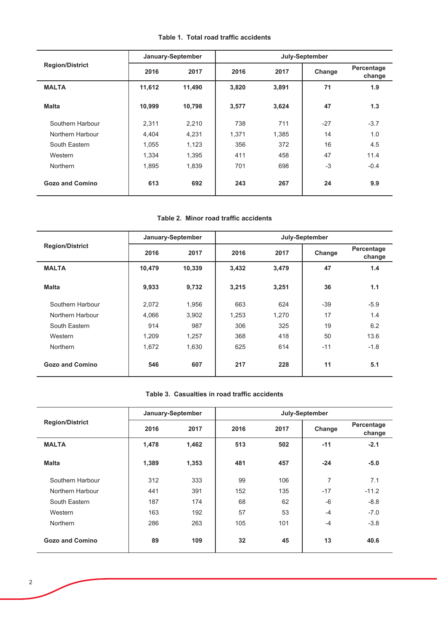|  |  |  |  |  |  | Table 1. Total road traffic accidents |
|--|--|--|--|--|--|---------------------------------------|
|--|--|--|--|--|--|---------------------------------------|

|                        |        | January-September | July-September |       |        |                      |  |
|------------------------|--------|-------------------|----------------|-------|--------|----------------------|--|
| <b>Region/District</b> | 2016   | 2017              | 2016           | 2017  | Change | Percentage<br>change |  |
| <b>MALTA</b>           | 11,612 | 11,490            | 3,820          | 3,891 | 71     | 1.9                  |  |
| <b>Malta</b>           | 10,999 | 10,798            | 3,577          | 3,624 | 47     | 1.3                  |  |
| Southern Harbour       | 2,311  | 2,210             | 738            | 711   | $-27$  | $-3.7$               |  |
| Northern Harbour       | 4,404  | 4,231             | 1,371          | 1,385 | 14     | 1.0                  |  |
| South Eastern          | 1,055  | 1,123             | 356            | 372   | 16     | 4.5                  |  |
| Western                | 1,334  | 1,395             | 411            | 458   | 47     | 11.4                 |  |
| <b>Northern</b>        | 1,895  | 1,839             | 701            | 698   | $-3$   | $-0.4$               |  |
| <b>Gozo and Comino</b> | 613    | 692               | 243            | 267   | 24     | 9.9                  |  |

#### Table 2. Minor road traffic accidents

|                        |        | January-September | July-September |       |        |                      |  |  |
|------------------------|--------|-------------------|----------------|-------|--------|----------------------|--|--|
| <b>Region/District</b> | 2016   | 2017              | 2016           | 2017  | Change | Percentage<br>change |  |  |
| <b>MALTA</b>           | 10,479 | 10,339            | 3,432          | 3,479 | 47     | 1.4                  |  |  |
| <b>Malta</b>           | 9,933  | 9,732             | 3,215          | 3,251 | 36     | 1.1                  |  |  |
| Southern Harbour       | 2,072  | 1,956             | 663            | 624   | $-39$  | $-5.9$               |  |  |
| Northern Harbour       | 4,066  | 3,902             | 1,253          | 1,270 | 17     | 1.4                  |  |  |
| South Eastern          | 914    | 987               | 306            | 325   | 19     | 6.2                  |  |  |
| Western                | 1.209  | 1,257             | 368            | 418   | 50     | 13.6                 |  |  |
| <b>Northern</b>        | 1,672  | 1,630             | 625            | 614   | $-11$  | $-1.8$               |  |  |
| <b>Gozo and Comino</b> | 546    | 607               | 217            | 228   | 11     | 5.1                  |  |  |

## Table 3. Casualties in road traffic accidents

|                        |       | January-September | July-September |      |        |                      |  |  |
|------------------------|-------|-------------------|----------------|------|--------|----------------------|--|--|
| <b>Region/District</b> | 2016  | 2017              | 2016           | 2017 | Change | Percentage<br>change |  |  |
| <b>MALTA</b>           | 1,478 | 1,462             | 513            | 502  | $-11$  | $-2.1$               |  |  |
| <b>Malta</b>           | 1,389 | 1,353             | 481            | 457  | $-24$  | $-5.0$               |  |  |
| Southern Harbour       | 312   | 333               | 99             | 106  | 7      | 7.1                  |  |  |
| Northern Harbour       | 441   | 391               | 152            | 135  | $-17$  | $-11.2$              |  |  |
| South Eastern          | 187   | 174               | 68             | 62   | $-6$   | $-8.8$               |  |  |
| Western                | 163   | 192               | 57             | 53   | $-4$   | $-7.0$               |  |  |
| <b>Northern</b>        | 286   | 263               | 105            | 101  | $-4$   | $-3.8$               |  |  |
| <b>Gozo and Comino</b> | 89    | 109               | 32             | 45   | 13     | 40.6                 |  |  |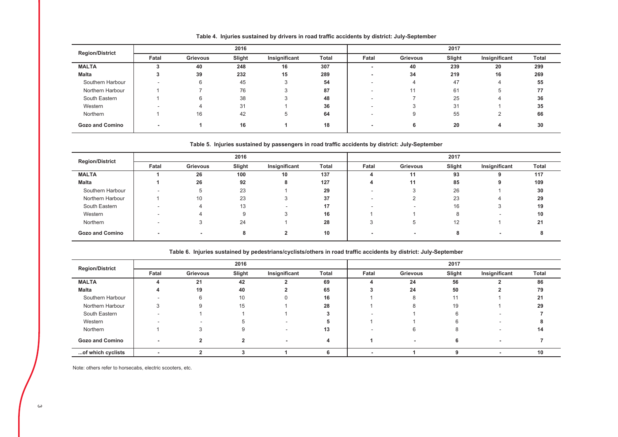| <b>Region/District</b> |                          |                 | 2016   |               |              |       |          | 2017   |               |       |
|------------------------|--------------------------|-----------------|--------|---------------|--------------|-------|----------|--------|---------------|-------|
|                        | Fatal                    | <b>Grievous</b> | Slight | Insignificant | <b>Total</b> | Fatal | Grievous | Slight | Insignificant | Total |
| <b>MALTA</b>           |                          | 40              | 248    | 16            | 307          |       | 40       | 239    | 20            | 299   |
| Malta                  |                          | 39              | 232    | 15            | 289          |       | 34       | 219    | 16            | 269   |
| Southern Harbour       |                          | 6               | 45     |               | 54           |       | 4        | 47     | 4             | 55    |
| Northern Harbour       |                          |                 | 76     |               | 87           |       | 11       | 61     | G             | 77    |
| South Eastern          |                          |                 | 38     |               | 48           |       |          | 25     | ▵             | 36    |
| Western                |                          |                 | 31     |               | 36           |       |          | 31     |               | 35    |
| Northern               |                          | 16              | 42     | b             | 64           |       |          | 55     | ∠             | 66    |
| <b>Gozo and Comino</b> | $\overline{\phantom{a}}$ |                 | 16     |               | 18           |       |          | 20     |               | 30    |

Table 4. Injuries sustained by drivers in road traffic accidents by district: July-September

Table 5. Injuries sustained by passengers in road traffic accidents by district: July-September

| <b>Region/District</b> |                          |          | 2016   |               |              |       |                          | 2017   |               |              |
|------------------------|--------------------------|----------|--------|---------------|--------------|-------|--------------------------|--------|---------------|--------------|
|                        | Fatal                    | Grievous | Slight | Insignificant | <b>Total</b> | Fatal | <b>Grievous</b>          | Slight | Insignificant | <b>Total</b> |
| <b>MALTA</b>           |                          | 26       | 100    | 10            | 137          |       | 11                       | 93     |               | 117          |
| Malta                  |                          | 26       | 92     |               | 127          |       | 11                       | 85     |               | 109          |
| Southern Harbour       |                          | $\circ$  | 23     |               | 29           |       |                          | 26     |               | 30           |
| Northern Harbour       |                          | 10       | 23     |               | 37           |       |                          | 23     | 4             | 29           |
| South Eastern          | $\overline{\phantom{a}}$ |          | 13     |               | 17           |       | $\overline{\phantom{a}}$ | 16     |               | 19           |
| Western                |                          |          | 9      |               | 16           |       |                          |        |               | 10           |
| Northern               |                          |          | 24     |               | 28           |       | 5                        | 12     |               | 21           |
| <b>Gozo and Comino</b> | $\overline{\phantom{a}}$ |          | 8      |               | 10           |       | $\,$                     |        |               |              |

|                        |       |          | - -    |               |       |       |          |        |                          |       |
|------------------------|-------|----------|--------|---------------|-------|-------|----------|--------|--------------------------|-------|
|                        |       |          | 2016   |               |       |       |          | 2017   |                          |       |
| <b>Region/District</b> | Fatal | Grievous | Slight | Insignificant | Total | Fatal | Grievous | Slight | Insignificant            | Total |
| <b>MALTA</b>           |       | 21       | 42     |               | 69    | 4     | 24       | 56     |                          | 86    |
| Malta                  |       | 19       | 40     |               | 65    |       | 24       | 50     |                          | 79    |
| Southern Harbour       |       | 6        | 10     |               | 16    |       | 8        | 11     |                          | 21    |
| Northern Harbour       | 5     | 9        | 15     |               | 28    |       | 8        | 19     |                          | 29    |
| South Eastern          |       |          |        |               |       |       |          |        |                          |       |
| Western                |       |          |        |               |       |       |          |        |                          |       |
| Northern               |       | 5        | 9      |               | 13    |       | 6        |        |                          | 14    |
| <b>Gozo and Comino</b> | -     |          |        |               | 4     |       | ۰        |        | $\overline{\phantom{0}}$ |       |
| of which cyclists      |       |          |        |               |       |       |          |        | $\overline{\phantom{0}}$ | 10    |

Table 6. Injuries sustained by pedestrians/cyclists/others in road traffic accidents by district: July-September

Note: others refer to horsecabs, electric scooters, etc.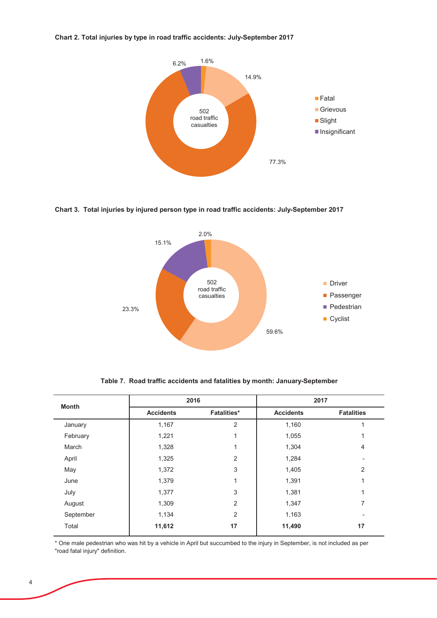### Chart 2. Total injuries by type in road traffic accidents: July-September 2017



Chart 3. Total injuries by injured person type in road traffic accidents: July-September 2017



| <b>Month</b> |                  | 2016               |                  | 2017              |
|--------------|------------------|--------------------|------------------|-------------------|
|              | <b>Accidents</b> | <b>Fatalities*</b> | <b>Accidents</b> | <b>Fatalities</b> |
| January      | 1,167            | 2                  | 1,160            |                   |
| February     | 1,221            | 1                  | 1,055            |                   |
| March        | 1,328            | 1                  | 1,304            | 4                 |
| April        | 1,325            | 2                  | 1,284            |                   |
| May          | 1,372            | 3                  | 1,405            | 2                 |
| June         | 1,379            | 1                  | 1,391            |                   |
| July         | 1,377            | 3                  | 1,381            | 1                 |
| August       | 1,309            | 2                  | 1,347            | 7                 |
| September    | 1,134            | $\overline{2}$     | 1,163            |                   |
| Total        | 11,612           | 17                 | 11,490           | 17                |

Table 7. Road traffic accidents and fatalities by month: January-September

\* One male pedestrian who was hit by a vehicle in April but succumbed to the injury in September, is not included as per "road fatal injury" definition.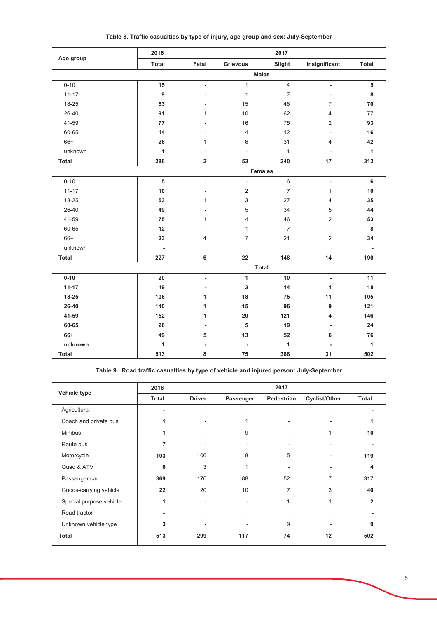|              | 2016             |                          |                          | 2017                |                |                |
|--------------|------------------|--------------------------|--------------------------|---------------------|----------------|----------------|
| Age group    | Total            | Fatal                    | Grievous                 | Slight              | Insignificant  | Total          |
|              |                  |                          |                          | <b>Males</b>        |                |                |
| $0 - 10$     | 15               | $\overline{a}$           | $\mathbf{1}$             | $\overline{4}$      | $\frac{1}{2}$  | 5              |
| $11 - 17$    | $\boldsymbol{9}$ |                          | $\mathbf{1}$             | $\overline{7}$      |                | $\bf8$         |
| 18-25        | 53               |                          | 15                       | 48                  | $\overline{7}$ | 70             |
| 26-40        | 91               | 1                        | 10                       | 62                  | 4              | 77             |
| 41-59        | 77               |                          | 16                       | 75                  | $\overline{2}$ | 93             |
| 60-65        | 14               |                          | 4                        | 12                  | ÷              | 16             |
| 66+          | 26               | 1                        | 6                        | 31                  | 4              | 42             |
| unknown      | $\mathbf{1}$     |                          | $\overline{\phantom{a}}$ | $\mathbf{1}$        | ÷,             | $\mathbf{1}$   |
| <b>Total</b> | 286              | $\overline{\mathbf{2}}$  | 53                       | 240                 | 17             | 312            |
|              |                  |                          |                          | <b>Females</b>      |                |                |
| $0 - 10$     | 5                | $\frac{1}{2}$            | $\bar{\phantom{a}}$      | $\,6\,$             | $\blacksquare$ | 6              |
| $11 - 17$    | $10$             |                          | $\overline{2}$           | $\overline{7}$      | $\mathbf{1}$   | 10             |
| 18-25        | 53               | 1                        | 3                        | 27                  | 4              | 35             |
| 26-40        | 49               |                          | 5                        | 34                  | 5              | 44             |
| 41-59        | 75               | 1                        | 4                        | 46                  | 2              | 53             |
| 60-65        | 12               |                          | $\mathbf{1}$             | $\overline{7}$      | ÷,             | $\bf8$         |
| 66+          | 23               | 4                        | $\overline{7}$           | 21                  | 2              | 34             |
| unknown      | $\blacksquare$   |                          |                          | $\bar{\phantom{a}}$ | L,             | $\blacksquare$ |
| <b>Total</b> | 227              | 6                        | 22                       | 148                 | 14             | 190            |
|              |                  |                          |                          | <b>Total</b>        |                |                |
| $0 - 10$     | 20               | $\overline{\phantom{a}}$ | 1                        | 10                  | $\blacksquare$ | 11             |
| $11 - 17$    | 19               | $\blacksquare$           | $\mathbf 3$              | 14                  | 1              | 18             |
| 18-25        | 106              | 1                        | 18                       | 75                  | 11             | 105            |
| $26 - 40$    | 140              | 1                        | 15                       | 96                  | 9              | 121            |
| 41-59        | 152              | 1                        | 20                       | 121                 | 4              | 146            |
| 60-65        | 26               | ۰                        | ${\bf 5}$                | 19                  | $\blacksquare$ | ${\bf 24}$     |
| 66+          | 49               | 5                        | 13                       | 52                  | 6              | 76             |
| unknown      | $\mathbf{1}$     |                          | $\blacksquare$           | $\mathbf{1}$        |                | $\mathbf{1}$   |
| <b>Total</b> | 513              | 8                        | 75                       | 388                 | 31             | 502            |

Table 8. Traffic casualties by type of injury, age group and sex: July-September

Table 9. Road traffic casualties by type of vehicle and injured person: July-September

| Vehicle type            | 2016         |               |           | 2017           |               |                |
|-------------------------|--------------|---------------|-----------|----------------|---------------|----------------|
|                         | <b>Total</b> | <b>Driver</b> | Passenger | Pedestrian     | Cyclist/Other | <b>Total</b>   |
| Agricultural            | ٠            |               |           |                |               |                |
| Coach and private bus   | 1            |               |           |                |               | 1              |
| <b>Minibus</b>          | 1            |               | 9         |                | 1             | 10             |
| Route bus               | 7            |               |           |                |               |                |
| Motorcycle              | 103          | 106           | 8         | 5              |               | 119            |
| Quad & ATV              | 6            | 3             |           |                |               | 4              |
| Passenger car           | 369          | 170           | 88        | 52             | 7             | 317            |
| Goods-carrying vehicle  | 22           | 20            | 10        | $\overline{7}$ | 3             | 40             |
| Special purpose vehicle | 1            |               |           |                | 1             | $\overline{2}$ |
| Road tractor            |              |               | ٠         |                |               |                |
| Unknown vehicle type    | 3            |               |           | 9              |               | 9              |
| Total                   | 513          | 299           | 117       | 74             | 12            | 502            |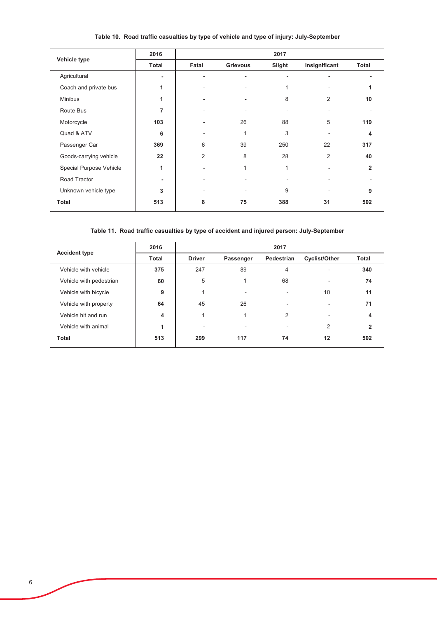| Vehicle type            | 2016  |                |                 | 2017   |                |              |
|-------------------------|-------|----------------|-----------------|--------|----------------|--------------|
|                         | Total | Fatal          | <b>Grievous</b> | Slight | Insignificant  | <b>Total</b> |
| Agricultural            | -     |                |                 |        |                |              |
| Coach and private bus   | 1     |                |                 | 1      |                | 4            |
| <b>Minibus</b>          | 1     |                |                 | 8      | $\overline{2}$ | 10           |
| Route Bus               | 7     |                |                 |        |                |              |
| Motorcycle              | 103   |                | 26              | 88     | 5              | 119          |
| Quad & ATV              | 6     |                | $\overline{ }$  | 3      |                | 4            |
| Passenger Car           | 369   | 6              | 39              | 250    | 22             | 317          |
| Goods-carrying vehicle  | 22    | $\overline{2}$ | 8               | 28     | $\overline{2}$ | 40           |
| Special Purpose Vehicle | 1     |                | 1               | 1      |                | $\mathbf{2}$ |
| Road Tractor            | -     |                |                 | ٠      | ٠              |              |
| Unknown vehicle type    | 3     |                |                 | 9      |                | 9            |
| <b>Total</b>            | 513   | 8              | 75              | 388    | 31             | 502          |

# Table 10. Road traffic casualties by type of vehicle and type of injury: July-September

Table 11. Road traffic casualties by type of accident and injured person: July-September

| <b>Accident type</b>    | 2016  |               |           | 2017                     |                          |                    |
|-------------------------|-------|---------------|-----------|--------------------------|--------------------------|--------------------|
|                         | Total | <b>Driver</b> | Passenger | Pedestrian               | <b>Cyclist/Other</b>     | <b>Total</b>       |
| Vehicle with vehicle    | 375   | 247           | 89        | $\overline{4}$           | $\overline{\phantom{a}}$ | 340                |
| Vehicle with pedestrian | 60    | 5             |           | 68                       | ۰                        | 74                 |
| Vehicle with bicycle    | 9     |               |           | $\overline{\phantom{a}}$ | 10                       | 11                 |
| Vehicle with property   | 64    | 45            | 26        | ۰                        | ٠                        | 71                 |
| Vehicle hit and run     | 4     |               |           | 2                        | ۰                        | $\overline{\bf 4}$ |
| Vehicle with animal     | 1     | ٠             |           | $\overline{\phantom{a}}$ | $\overline{2}$           | $\mathbf{2}$       |
| <b>Total</b>            | 513   | 299           | 117       | 74                       | 12                       | 502                |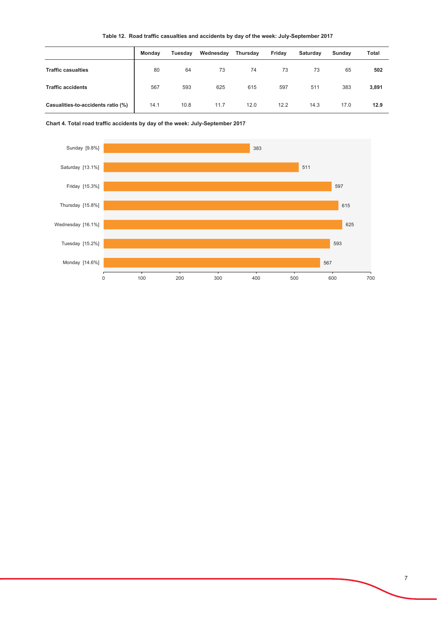|  | Table 12. Road traffic casualties and accidents by day of the week: July-September 2017 |  |  |
|--|-----------------------------------------------------------------------------------------|--|--|
|  |                                                                                         |  |  |

|                                    | Monday | Tuesday | Wednesday | Thursday | Friday | Saturday | Sunday | Total |
|------------------------------------|--------|---------|-----------|----------|--------|----------|--------|-------|
| <b>Traffic casualties</b>          | 80     | 64      | 73        | 74       | 73     | 73       | 65     | 502   |
| <b>Traffic accidents</b>           | 567    | 593     | 625       | 615      | 597    | 511      | 383    | 3,891 |
| Casualities-to-accidents ratio (%) | 14.1   | 10.8    | 11.7      | 12.0     | 12.2   | 14.3     | 17.0   | 12.9  |

Chart 4. Total road traffic accidents by day of the week: July-September 2017

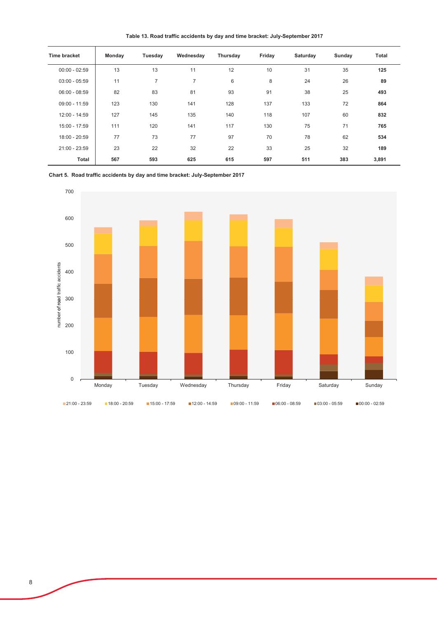Table 13. Road traffic accidents by day and time bracket: July-September 2017

| Time bracket    | Monday | Tuesday | Wednesday      | Thursday | Friday | Saturday | Sunday | Total |
|-----------------|--------|---------|----------------|----------|--------|----------|--------|-------|
| $00:00 - 02:59$ | 13     | 13      | 11             | 12       | 10     | 31       | 35     | 125   |
| $03:00 - 05:59$ | 11     | 7       | $\overline{7}$ | 6        | 8      | 24       | 26     | 89    |
| $06:00 - 08:59$ | 82     | 83      | 81             | 93       | 91     | 38       | 25     | 493   |
| $09:00 - 11:59$ | 123    | 130     | 141            | 128      | 137    | 133      | 72     | 864   |
| 12:00 - 14:59   | 127    | 145     | 135            | 140      | 118    | 107      | 60     | 832   |
| 15:00 - 17:59   | 111    | 120     | 141            | 117      | 130    | 75       | 71     | 765   |
| 18:00 - 20:59   | 77     | 73      | 77             | 97       | 70     | 78       | 62     | 534   |
| 21:00 - 23:59   | 23     | 22      | 32             | 22       | 33     | 25       | 32     | 189   |
| <b>Total</b>    | 567    | 593     | 625            | 615      | 597    | 511      | 383    | 3,891 |

Chart 5. Road traffic accidents by day and time bracket: July-September 2017

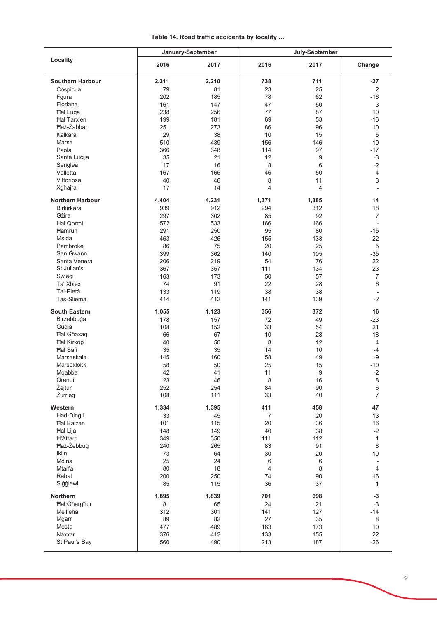|                         |           | January-September | July-September |                  |                          |  |
|-------------------------|-----------|-------------------|----------------|------------------|--------------------------|--|
| Locality                | 2016      | 2017              | 2016           | 2017             | Change                   |  |
| <b>Southern Harbour</b> | 2,311     | 2,210             | 738            | 711              | $-27$                    |  |
| Cospicua                | 79        | 81                | 23             | 25               | $\overline{2}$           |  |
| Fgura                   | 202       | 185               | 78             | 62               | $-16$                    |  |
| Floriana                | 161       | 147               | 47             | 50               | 3                        |  |
| <b>Hal Luqa</b>         | 238       | 256               | 77             | 87               | 10                       |  |
| <b>Hal Tarxien</b>      | 199       | 181               | 69             | 53               | $-16$                    |  |
| <b>Haż-Żabbar</b>       |           | 273               | 86             | 96               | 10                       |  |
|                         | 251<br>29 |                   | 10             |                  |                          |  |
| Kalkara                 |           | 38                |                | 15               | $\sqrt{5}$               |  |
| Marsa                   | 510       | 439               | 156            | 146              | $-10$                    |  |
| Paola                   | 366       | 348               | 114            | 97               | $-17$                    |  |
| Santa Lucija            | 35        | 21                | 12             | 9                | $-3$                     |  |
| Senglea                 | 17        | 16                | 8              | 6                | $-2$                     |  |
| Valletta                | 167       | 165               | 46             | 50               | $\overline{4}$           |  |
| Vittoriosa              | 40        | 46                | 8              | 11               | $\mathsf 3$              |  |
| Xgħajra                 | 17        | 14                | 4              | 4                |                          |  |
| <b>Northern Harbour</b> | 4,404     | 4,231             | 1,371          | 1,385            | 14                       |  |
| <b>Birkirkara</b>       |           |                   | 294            |                  |                          |  |
|                         | 939       | 912               |                | 312              | 18                       |  |
| Gżira                   | 297       | 302               | 85             | 92               | $\overline{7}$           |  |
| <b>Hal Qormi</b>        | 572       | 533               | 166            | 166              | $\overline{\phantom{a}}$ |  |
| <b>Hamrun</b>           | 291       | 250               | 95             | 80               | $-15$                    |  |
| <b>Msida</b>            | 463       | 426               | 155            | 133              | $-22$                    |  |
| Pembroke                | 86        | 75                | 20             | 25               | 5                        |  |
| San Gwann               | 399       | 362               | 140            | 105              | $-35$                    |  |
| Santa Venera            | 206       | 219               | 54             | 76               | 22                       |  |
| St Julian's             | 367       | 357               | 111            | 134              | 23                       |  |
| Swiegi                  | 163       | 173               | 50             | 57               | $\overline{7}$           |  |
| Ta' Xbiex               | 74        | 91                | 22             | 28               | 6                        |  |
| Tal-Pietà               | 133       | 119               | 38             | 38               |                          |  |
| Tas-Sliema              | 414       | 412               | 141            | 139              | $-2$                     |  |
| <b>South Eastern</b>    | 1,055     | 1,123             | 356            | 372              | 16                       |  |
|                         |           |                   |                |                  |                          |  |
| Birżebbuġa              | 178       | 157               | 72             | 49               | $-23$                    |  |
| Gudja                   | 108       | 152               | 33             | 54               | 21                       |  |
| <b>Hal Ghaxaq</b>       | 66        | 67                | 10             | 28               | 18                       |  |
| <b>Hal Kirkop</b>       | 40        | 50                | 8              | 12               | $\overline{4}$           |  |
| <b>Hal Safi</b>         | 35        | 35                | 14             | 10               | $-4$                     |  |
| Marsaskala              | 145       | 160               | 58             | 49               | $-9$                     |  |
| Marsaxlokk              | 58        | 50                | 25             | 15               | $-10$                    |  |
| Mqabba                  | 42        | 41                | 11             | $\boldsymbol{9}$ | $-2$                     |  |
| Qrendi                  | 23        | 46                | 8              | 16               | 8                        |  |
| Żejtun                  | 252       | 254               | 84             | 90               | 6                        |  |
| Żurrieg                 | 108       | 111               | 33             | 40               | $\overline{7}$           |  |
| Western                 | 1,334     | 1,395             | 411            | 458              | 47                       |  |
| Had-Dingli              | 33        | 45                | $\overline{7}$ | 20               | 13                       |  |
| <b>Hal Balzan</b>       | 101       | 115               | 20             | 36               | 16                       |  |
|                         |           |                   |                |                  |                          |  |
| <b>Hal Lija</b>         | 148       | 149               | 40             | 38               | $-2$                     |  |
| <b>H'Attard</b>         | 349       | 350               | 111            | 112              | $\mathbf{1}$             |  |
| Haż-Żebbuġ              | 240       | 265               | 83             | 91               | $\,8\,$                  |  |
| Iklin                   | 73        | 64                | 30             | 20               | $-10$                    |  |
| Mdina                   | 25        | 24                | 6              | 6                |                          |  |
| Mtarfa                  | 80        | 18                | 4              | 8                | 4                        |  |
| Rabat                   | 200       | 250               | 74             | 90               | 16                       |  |
| Siģģiewi                | 85        | 115               | 36             | 37               | $\mathbf{1}$             |  |
| Northern                | 1,895     | 1,839             | 701            | 698              | $-3$                     |  |
| <b>Hal Gharghur</b>     | 81        | 65                | 24             | 21               | $-3$                     |  |
| Mellieħa                | 312       | 301               | 141            | 127              | $-14$                    |  |
| Mġarr                   | 89        | 82                | 27             | 35               | 8                        |  |
| Mosta                   |           |                   | 163            |                  | 10                       |  |
|                         | 477       | 489               |                | 173              |                          |  |
| Naxxar<br>St Paul's Bay | 376       | 412               | 133            | 155              | 22                       |  |
|                         | 560       | 490               | 213            | 187              | $-26$                    |  |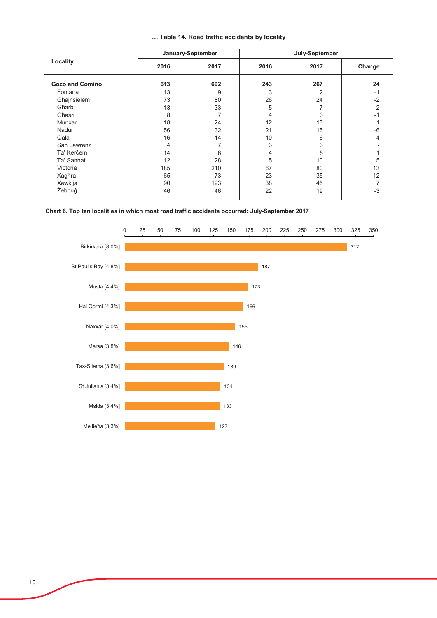|  |  |  |  |  | Table 14. Road traffic accidents by locality |  |  |
|--|--|--|--|--|----------------------------------------------|--|--|
|--|--|--|--|--|----------------------------------------------|--|--|

|                        |      | January-September | July-September |      |        |  |
|------------------------|------|-------------------|----------------|------|--------|--|
| Locality               | 2016 | 2017              | 2016           | 2017 | Change |  |
| <b>Gozo and Comino</b> | 613  | 692               | 243            | 267  | 24     |  |
| Fontana                | 13   | 9                 | 3              | 2    | -1     |  |
| Għajnsielem            | 73   | 80                | 26             | 24   | $-2$   |  |
| Gharb                  | 13   | 33                | 5              |      | 2      |  |
| Għasri                 | 8    | 7                 | 4              | 3    | -1     |  |
| Munxar                 | 18   | 24                | 12             | 13   |        |  |
| Nadur                  | 56   | 32                | 21             | 15   | $-6$   |  |
| Qala                   | 16   | 14                | 10             | 6    | -4     |  |
| San Lawrenz            | 4    |                   | 3              | 3    |        |  |
| Ta' Kercem             | 14   | 6                 | 4              | 5    |        |  |
| Ta' Sannat             | 12   | 28                | 5              | 10   | 5      |  |
| Victoria               | 185  | 210               | 67             | 80   | 13     |  |
| Xagħra                 | 65   | 73                | 23             | 35   | 12     |  |
| Xewkija                | 90   | 123               | 38             | 45   |        |  |
| Żebbuġ                 | 46   | 46                | 22             | 19   | $-3$   |  |

#### Chart 6. Top ten localities in which most road traffic accidents occurred: July-September 2017